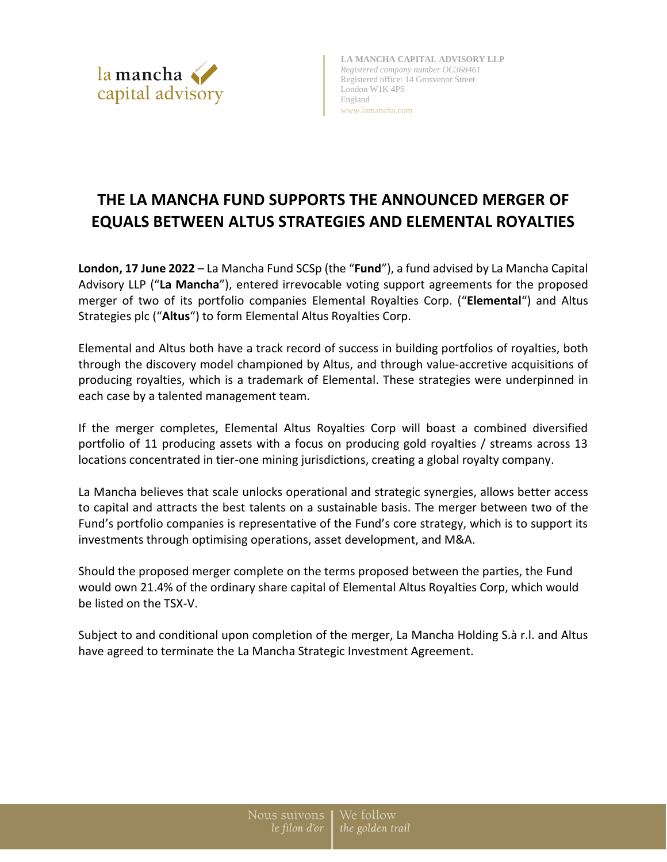

**LA MANCHA CAPITAL ADVISORY LLP** *Registered company number OC368461* Registered office: 14 Grosvenor Street London W1K 4PS England www.lamancha.com

# **THE LA MANCHA FUND SUPPORTS THE ANNOUNCED MERGER OF EQUALS BETWEEN ALTUS STRATEGIES AND ELEMENTAL ROYALTIES**

**London, 17 June 2022** – La Mancha Fund SCSp (the "**Fund**"), a fund advised by La Mancha Capital Advisory LLP ("**La Mancha**"), entered irrevocable voting support agreements for the proposed merger of two of its portfolio companies Elemental Royalties Corp. ("**Elemental**") and Altus Strategies plc ("**Altus**") to form Elemental Altus Royalties Corp.

Elemental and Altus both have a track record of success in building portfolios of royalties, both through the discovery model championed by Altus, and through value-accretive acquisitions of producing royalties, which is a trademark of Elemental. These strategies were underpinned in each case by a talented management team.

If the merger completes, Elemental Altus Royalties Corp will boast a combined diversified portfolio of 11 producing assets with a focus on producing gold royalties / streams across 13 locations concentrated in tier-one mining jurisdictions, creating a global royalty company.

La Mancha believes that scale unlocks operational and strategic synergies, allows better access to capital and attracts the best talents on a sustainable basis. The merger between two of the Fund's portfolio companies is representative of the Fund's core strategy, which is to support its investments through optimising operations, asset development, and M&A.

Should the proposed merger complete on the terms proposed between the parties, the Fund would own 21.4% of the ordinary share capital of Elemental Altus Royalties Corp, which would be listed on the TSX-V.

Subject to and conditional upon completion of the merger, La Mancha Holding S.à r.l. and Altus have agreed to terminate the La Mancha Strategic Investment Agreement.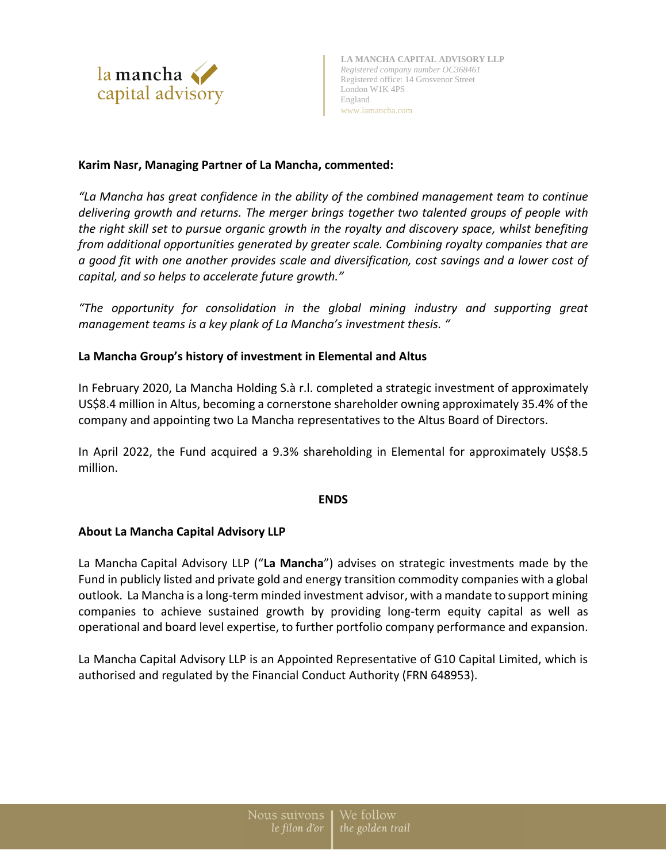

# **Karim Nasr, Managing Partner of La Mancha, commented:**

*"La Mancha has great confidence in the ability of the combined management team to continue delivering growth and returns. The merger brings together two talented groups of people with the right skill set to pursue organic growth in the royalty and discovery space, whilst benefiting from additional opportunities generated by greater scale. Combining royalty companies that are a good fit with one another provides scale and diversification, cost savings and a lower cost of capital, and so helps to accelerate future growth."*

*"The opportunity for consolidation in the global mining industry and supporting great management teams is a key plank of La Mancha's investment thesis. "*

# **La Mancha Group's history of investment in Elemental and Altus**

In February 2020, La Mancha Holding S.à r.l. completed a strategic investment of approximately US\$8.4 million in Altus, becoming a cornerstone shareholder owning approximately 35.4% of the company and appointing two La Mancha representatives to the Altus Board of Directors.

In April 2022, the Fund acquired a 9.3% shareholding in Elemental for approximately US\$8.5 million.

#### **ENDS**

#### **About La Mancha Capital Advisory LLP**

La Mancha Capital Advisory LLP ("**La Mancha**") advises on strategic investments made by the Fund in publicly listed and private gold and energy transition commodity companies with a global outlook. La Mancha is a long-term minded investment advisor, with a mandate to support mining companies to achieve sustained growth by providing long-term equity capital as well as operational and board level expertise, to further portfolio company performance and expansion.

La Mancha Capital Advisory LLP is an Appointed Representative of G10 Capital Limited, which is authorised and regulated by the Financial Conduct Authority (FRN 648953).